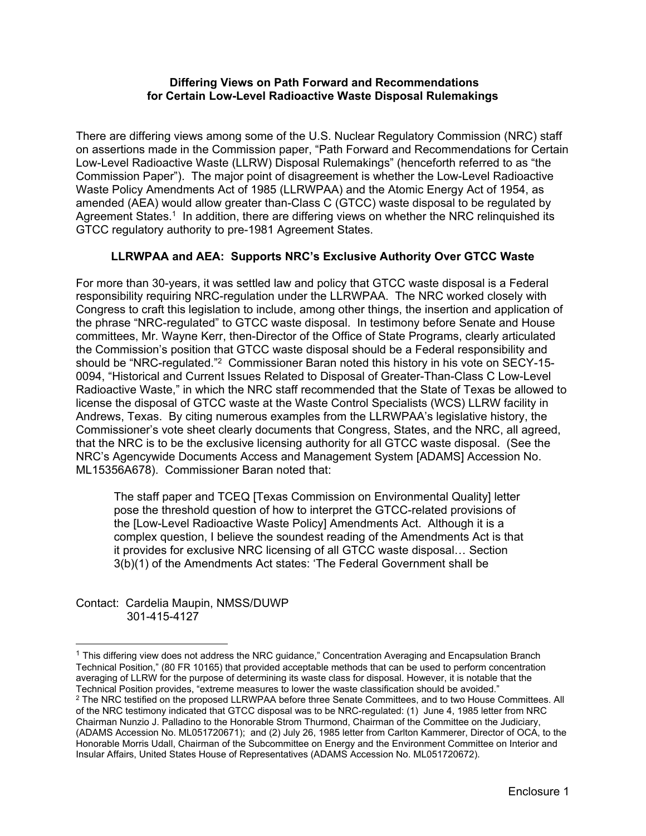#### **Differing Views on Path Forward and Recommendations for Certain Low-Level Radioactive Waste Disposal Rulemakings**

There are differing views among some of the U.S. Nuclear Regulatory Commission (NRC) staff on assertions made in the Commission paper, "Path Forward and Recommendations for Certain Low-Level Radioactive Waste (LLRW) Disposal Rulemakings" (henceforth referred to as "the Commission Paper"). The major point of disagreement is whether the Low-Level Radioactive Waste Policy Amendments Act of 1985 (LLRWPAA) and the Atomic Energy Act of 1954, as amended (AEA) would allow greater than-Class C (GTCC) waste disposal to be regulated by Agreement States.<sup>1</sup> In addition, there are differing views on whether the NRC relinguished its GTCC regulatory authority to pre-1981 Agreement States.

# **LLRWPAA and AEA: Supports NRC's Exclusive Authority Over GTCC Waste**

For more than 30-years, it was settled law and policy that GTCC waste disposal is a Federal responsibility requiring NRC-regulation under the LLRWPAA. The NRC worked closely with Congress to craft this legislation to include, among other things, the insertion and application of the phrase "NRC-regulated" to GTCC waste disposal. In testimony before Senate and House committees, Mr. Wayne Kerr, then-Director of the Office of State Programs, clearly articulated the Commission's position that GTCC waste disposal should be a Federal responsibility and should be "NRC-regulated."2 Commissioner Baran noted this history in his vote on SECY-15- 0094, "Historical and Current Issues Related to Disposal of Greater-Than-Class C Low-Level Radioactive Waste," in which the NRC staff recommended that the State of Texas be allowed to license the disposal of GTCC waste at the Waste Control Specialists (WCS) LLRW facility in Andrews, Texas. By citing numerous examples from the LLRWPAA's legislative history, the Commissioner's vote sheet clearly documents that Congress, States, and the NRC, all agreed, that the NRC is to be the exclusive licensing authority for all GTCC waste disposal. (See the NRC's Agencywide Documents Access and Management System [ADAMS] Accession No. ML15356A678). Commissioner Baran noted that:

The staff paper and TCEQ [Texas Commission on Environmental Quality] letter pose the threshold question of how to interpret the GTCC-related provisions of the [Low-Level Radioactive Waste Policy] Amendments Act. Although it is a complex question, I believe the soundest reading of the Amendments Act is that it provides for exclusive NRC licensing of all GTCC waste disposal… Section 3(b)(1) of the Amendments Act states: 'The Federal Government shall be

Contact: Cardelia Maupin, NMSS/DUWP 301-415-4127

 $\overline{a}$ 

 $1$  This differing view does not address the NRC guidance," Concentration Averaging and Encapsulation Branch Technical Position," (80 FR 10165) that provided acceptable methods that can be used to perform concentration averaging of LLRW for the purpose of determining its waste class for disposal. However, it is notable that the Technical Position provides, "extreme measures to lower the waste classification should be avoided."<br><sup>2</sup> The NRC testified on the proposed LLRWPAA before three Senate Committees, and to two House Committees. All of the NRC testimony indicated that GTCC disposal was to be NRC-regulated: (1) June 4, 1985 letter from NRC Chairman Nunzio J. Palladino to the Honorable Strom Thurmond, Chairman of the Committee on the Judiciary, (ADAMS Accession No. ML051720671); and (2) July 26, 1985 letter from Carlton Kammerer, Director of OCA, to the Honorable Morris Udall, Chairman of the Subcommittee on Energy and the Environment Committee on Interior and

Insular Affairs, United States House of Representatives (ADAMS Accession No. ML051720672).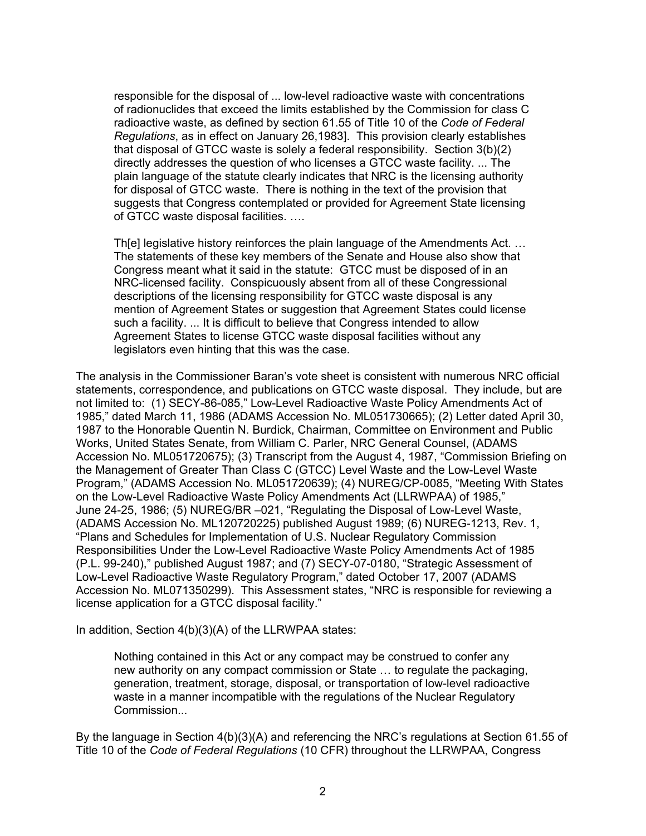responsible for the disposal of ... low-level radioactive waste with concentrations of radionuclides that exceed the limits established by the Commission for class C radioactive waste, as defined by section 61.55 of Title 10 of the *Code of Federal Regulations*, as in effect on January 26,1983]. This provision clearly establishes that disposal of GTCC waste is solely a federal responsibility. Section 3(b)(2) directly addresses the question of who licenses a GTCC waste facility. ... The plain language of the statute clearly indicates that NRC is the licensing authority for disposal of GTCC waste. There is nothing in the text of the provision that suggests that Congress contemplated or provided for Agreement State licensing of GTCC waste disposal facilities. ….

Th[e] legislative history reinforces the plain language of the Amendments Act. … The statements of these key members of the Senate and House also show that Congress meant what it said in the statute: GTCC must be disposed of in an NRC-licensed facility. Conspicuously absent from all of these Congressional descriptions of the licensing responsibility for GTCC waste disposal is any mention of Agreement States or suggestion that Agreement States could license such a facility. ... It is difficult to believe that Congress intended to allow Agreement States to license GTCC waste disposal facilities without any legislators even hinting that this was the case.

The analysis in the Commissioner Baran's vote sheet is consistent with numerous NRC official statements, correspondence, and publications on GTCC waste disposal. They include, but are not limited to: (1) SECY-86-085," Low-Level Radioactive Waste Policy Amendments Act of 1985," dated March 11, 1986 (ADAMS Accession No. ML051730665); (2) Letter dated April 30, 1987 to the Honorable Quentin N. Burdick, Chairman, Committee on Environment and Public Works, United States Senate, from William C. Parler, NRC General Counsel, (ADAMS Accession No. ML051720675); (3) Transcript from the August 4, 1987, "Commission Briefing on the Management of Greater Than Class C (GTCC) Level Waste and the Low-Level Waste Program," (ADAMS Accession No. ML051720639); (4) NUREG/CP-0085, "Meeting With States on the Low-Level Radioactive Waste Policy Amendments Act (LLRWPAA) of 1985," June 24-25, 1986; (5) NUREG/BR –021, "Regulating the Disposal of Low-Level Waste, (ADAMS Accession No. ML120720225) published August 1989; (6) NUREG-1213, Rev. 1, "Plans and Schedules for Implementation of U.S. Nuclear Regulatory Commission Responsibilities Under the Low-Level Radioactive Waste Policy Amendments Act of 1985 (P.L. 99-240)," published August 1987; and (7) SECY-07-0180, "Strategic Assessment of Low-Level Radioactive Waste Regulatory Program," dated October 17, 2007 (ADAMS Accession No. ML071350299). This Assessment states, "NRC is responsible for reviewing a license application for a GTCC disposal facility."

In addition, Section  $4(b)(3)(A)$  of the LLRWPAA states:

Nothing contained in this Act or any compact may be construed to confer any new authority on any compact commission or State … to regulate the packaging, generation, treatment, storage, disposal, or transportation of low-level radioactive waste in a manner incompatible with the regulations of the Nuclear Regulatory Commission...

By the language in Section 4(b)(3)(A) and referencing the NRC's regulations at Section 61.55 of Title 10 of the *Code of Federal Regulations* (10 CFR) throughout the LLRWPAA, Congress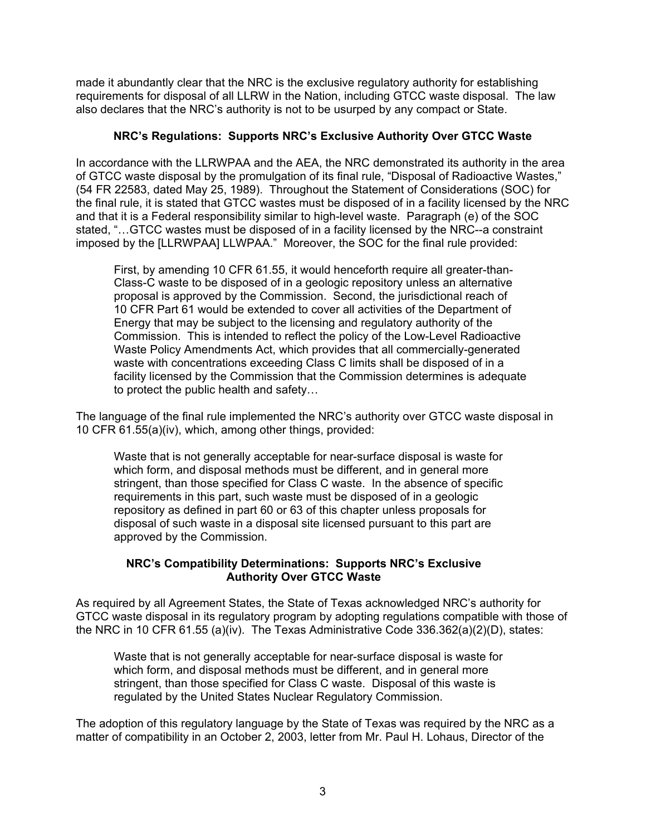made it abundantly clear that the NRC is the exclusive regulatory authority for establishing requirements for disposal of all LLRW in the Nation, including GTCC waste disposal. The law also declares that the NRC's authority is not to be usurped by any compact or State.

## **NRC's Regulations: Supports NRC's Exclusive Authority Over GTCC Waste**

In accordance with the LLRWPAA and the AEA, the NRC demonstrated its authority in the area of GTCC waste disposal by the promulgation of its final rule, "Disposal of Radioactive Wastes," (54 FR 22583, dated May 25, 1989). Throughout the Statement of Considerations (SOC) for the final rule, it is stated that GTCC wastes must be disposed of in a facility licensed by the NRC and that it is a Federal responsibility similar to high-level waste. Paragraph (e) of the SOC stated, "…GTCC wastes must be disposed of in a facility licensed by the NRC--a constraint imposed by the [LLRWPAA] LLWPAA." Moreover, the SOC for the final rule provided:

First, by amending 10 CFR 61.55, it would henceforth require all greater-than-Class-C waste to be disposed of in a geologic repository unless an alternative proposal is approved by the Commission. Second, the jurisdictional reach of 10 CFR Part 61 would be extended to cover all activities of the Department of Energy that may be subject to the licensing and regulatory authority of the Commission. This is intended to reflect the policy of the Low-Level Radioactive Waste Policy Amendments Act, which provides that all commercially-generated waste with concentrations exceeding Class C limits shall be disposed of in a facility licensed by the Commission that the Commission determines is adequate to protect the public health and safety…

The language of the final rule implemented the NRC's authority over GTCC waste disposal in 10 CFR 61.55(a)(iv), which, among other things, provided:

Waste that is not generally acceptable for near-surface disposal is waste for which form, and disposal methods must be different, and in general more stringent, than those specified for Class C waste. In the absence of specific requirements in this part, such waste must be disposed of in a geologic repository as defined in part 60 or 63 of this chapter unless proposals for disposal of such waste in a disposal site licensed pursuant to this part are approved by the Commission.

### **NRC's Compatibility Determinations: Supports NRC's Exclusive Authority Over GTCC Waste**

As required by all Agreement States, the State of Texas acknowledged NRC's authority for GTCC waste disposal in its regulatory program by adopting regulations compatible with those of the NRC in 10 CFR 61.55 (a)(iv). The Texas Administrative Code 336.362(a)(2)(D), states:

Waste that is not generally acceptable for near-surface disposal is waste for which form, and disposal methods must be different, and in general more stringent, than those specified for Class C waste. Disposal of this waste is regulated by the United States Nuclear Regulatory Commission.

The adoption of this regulatory language by the State of Texas was required by the NRC as a matter of compatibility in an October 2, 2003, letter from Mr. Paul H. Lohaus, Director of the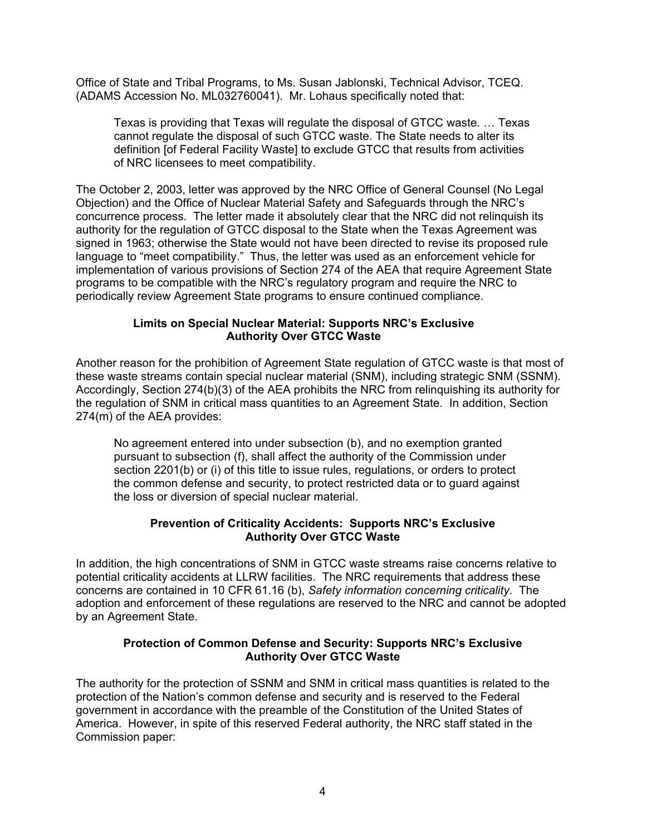Office of State and Tribal Programs, to Ms. Susan Jablonski, Technical Advisor, TCEQ. (ADAMS Accession No. ML032760041). Mr. Lohaus specifically noted that:

Texas is providing that Texas will regulate the disposal of GTCC waste. … Texas cannot regulate the disposal of such GTCC waste. The State needs to alter its definition [of Federal Facility Waste] to exclude GTCC that results from activities of NRC licensees to meet compatibility.

The October 2, 2003, letter was approved by the NRC Office of General Counsel (No Legal Objection) and the Office of Nuclear Material Safety and Safeguards through the NRC's concurrence process. The letter made it absolutely clear that the NRC did not relinquish its authority for the regulation of GTCC disposal to the State when the Texas Agreement was signed in 1963; otherwise the State would not have been directed to revise its proposed rule language to "meet compatibility." Thus, the letter was used as an enforcement vehicle for implementation of various provisions of Section 274 of the AEA that require Agreement State programs to be compatible with the NRC's regulatory program and require the NRC to periodically review Agreement State programs to ensure continued compliance.

## **Limits on Special Nuclear Material: Supports NRC's Exclusive Authority Over GTCC Waste**

Another reason for the prohibition of Agreement State regulation of GTCC waste is that most of these waste streams contain special nuclear material (SNM), including strategic SNM (SSNM). Accordingly, Section 274(b)(3) of the AEA prohibits the NRC from relinquishing its authority for the regulation of SNM in critical mass quantities to an Agreement State. In addition, Section 274(m) of the AEA provides:

No agreement entered into under subsection (b), and no exemption granted pursuant to subsection (f), shall affect the authority of the Commission under section 2201(b) or (i) of this title to issue rules, regulations, or orders to protect the common defense and security, to protect restricted data or to guard against the loss or diversion of special nuclear material.

### **Prevention of Criticality Accidents: Supports NRC's Exclusive Authority Over GTCC Waste**

In addition, the high concentrations of SNM in GTCC waste streams raise concerns relative to potential criticality accidents at LLRW facilities. The NRC requirements that address these concerns are contained in 10 CFR 61.16 (b), *Safety information concerning criticality*. The adoption and enforcement of these regulations are reserved to the NRC and cannot be adopted by an Agreement State.

### **Protection of Common Defense and Security: Supports NRC's Exclusive Authority Over GTCC Waste**

The authority for the protection of SSNM and SNM in critical mass quantities is related to the protection of the Nation's common defense and security and is reserved to the Federal government in accordance with the preamble of the Constitution of the United States of America. However, in spite of this reserved Federal authority, the NRC staff stated in the Commission paper: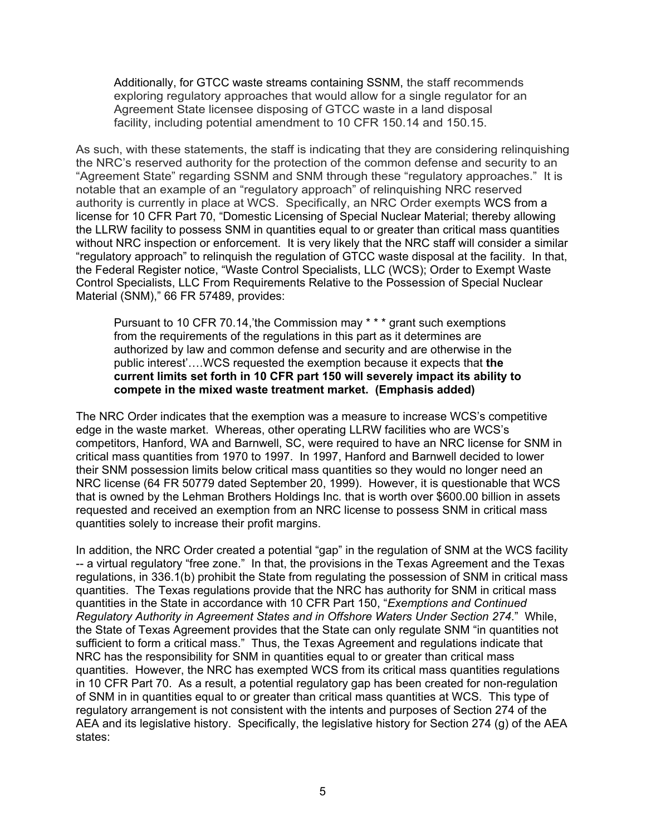Additionally, for GTCC waste streams containing SSNM, the staff recommends exploring regulatory approaches that would allow for a single regulator for an Agreement State licensee disposing of GTCC waste in a land disposal facility, including potential amendment to 10 CFR 150.14 and 150.15.

As such, with these statements, the staff is indicating that they are considering relinquishing the NRC's reserved authority for the protection of the common defense and security to an "Agreement State" regarding SSNM and SNM through these "regulatory approaches." It is notable that an example of an "regulatory approach" of relinquishing NRC reserved authority is currently in place at WCS. Specifically, an NRC Order exempts WCS from a license for 10 CFR Part 70, "Domestic Licensing of Special Nuclear Material; thereby allowing the LLRW facility to possess SNM in quantities equal to or greater than critical mass quantities without NRC inspection or enforcement. It is very likely that the NRC staff will consider a similar "regulatory approach" to relinquish the regulation of GTCC waste disposal at the facility. In that, the Federal Register notice, "Waste Control Specialists, LLC (WCS); Order to Exempt Waste Control Specialists, LLC From Requirements Relative to the Possession of Special Nuclear Material (SNM)," 66 FR 57489, provides:

Pursuant to 10 CFR 70.14,'the Commission may \* \* \* grant such exemptions from the requirements of the regulations in this part as it determines are authorized by law and common defense and security and are otherwise in the public interest'….WCS requested the exemption because it expects that **the current limits set forth in 10 CFR part 150 will severely impact its ability to compete in the mixed waste treatment market. (Emphasis added)** 

The NRC Order indicates that the exemption was a measure to increase WCS's competitive edge in the waste market. Whereas, other operating LLRW facilities who are WCS's competitors, Hanford, WA and Barnwell, SC, were required to have an NRC license for SNM in critical mass quantities from 1970 to 1997. In 1997, Hanford and Barnwell decided to lower their SNM possession limits below critical mass quantities so they would no longer need an NRC license (64 FR 50779 dated September 20, 1999). However, it is questionable that WCS that is owned by the Lehman Brothers Holdings Inc. that is worth over \$600.00 billion in assets requested and received an exemption from an NRC license to possess SNM in critical mass quantities solely to increase their profit margins.

In addition, the NRC Order created a potential "gap" in the regulation of SNM at the WCS facility -- a virtual regulatory "free zone." In that, the provisions in the Texas Agreement and the Texas regulations, in 336.1(b) prohibit the State from regulating the possession of SNM in critical mass quantities. The Texas regulations provide that the NRC has authority for SNM in critical mass quantities in the State in accordance with 10 CFR Part 150, "*Exemptions and Continued Regulatory Authority in Agreement States and in Offshore Waters Under Section 274*." While, the State of Texas Agreement provides that the State can only regulate SNM "in quantities not sufficient to form a critical mass." Thus, the Texas Agreement and regulations indicate that NRC has the responsibility for SNM in quantities equal to or greater than critical mass quantities. However, the NRC has exempted WCS from its critical mass quantities regulations in 10 CFR Part 70. As a result, a potential regulatory gap has been created for non-regulation of SNM in in quantities equal to or greater than critical mass quantities at WCS. This type of regulatory arrangement is not consistent with the intents and purposes of Section 274 of the AEA and its legislative history. Specifically, the legislative history for Section 274 (g) of the AEA states: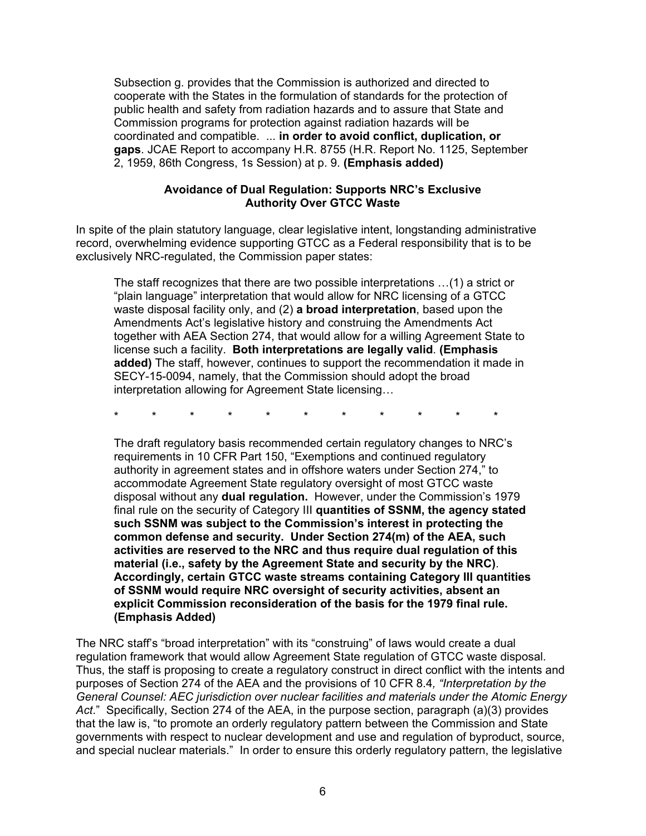Subsection g. provides that the Commission is authorized and directed to cooperate with the States in the formulation of standards for the protection of public health and safety from radiation hazards and to assure that State and Commission programs for protection against radiation hazards will be coordinated and compatible. ... **in order to avoid conflict, duplication, or gaps**. JCAE Report to accompany H.R. 8755 (H.R. Report No. 1125, September 2, 1959, 86th Congress, 1s Session) at p. 9. **(Emphasis added)** 

#### **Avoidance of Dual Regulation: Supports NRC's Exclusive Authority Over GTCC Waste**

In spite of the plain statutory language, clear legislative intent, longstanding administrative record, overwhelming evidence supporting GTCC as a Federal responsibility that is to be exclusively NRC-regulated, the Commission paper states:

The staff recognizes that there are two possible interpretations …(1) a strict or "plain language" interpretation that would allow for NRC licensing of a GTCC waste disposal facility only, and (2) **a broad interpretation**, based upon the Amendments Act's legislative history and construing the Amendments Act together with AEA Section 274, that would allow for a willing Agreement State to license such a facility. **Both interpretations are legally valid**. **(Emphasis added)** The staff, however, continues to support the recommendation it made in SECY-15-0094, namely, that the Commission should adopt the broad interpretation allowing for Agreement State licensing…

\* \* \* \* \* \* \* \* \* \* \*

The draft regulatory basis recommended certain regulatory changes to NRC's requirements in 10 CFR Part 150, "Exemptions and continued regulatory authority in agreement states and in offshore waters under Section 274," to accommodate Agreement State regulatory oversight of most GTCC waste disposal without any **dual regulation.** However, under the Commission's 1979 final rule on the security of Category III **quantities of SSNM, the agency stated such SSNM was subject to the Commission's interest in protecting the common defense and security. Under Section 274(m) of the AEA, such activities are reserved to the NRC and thus require dual regulation of this material (i.e., safety by the Agreement State and security by the NRC)**. **Accordingly, certain GTCC waste streams containing Category III quantities of SSNM would require NRC oversight of security activities, absent an explicit Commission reconsideration of the basis for the 1979 final rule. (Emphasis Added)** 

The NRC staff's "broad interpretation" with its "construing" of laws would create a dual regulation framework that would allow Agreement State regulation of GTCC waste disposal. Thus, the staff is proposing to create a regulatory construct in direct conflict with the intents and purposes of Section 274 of the AEA and the provisions of 10 CFR 8.4*, "Interpretation by the General Counsel: AEC jurisdiction over nuclear facilities and materials under the Atomic Energy Act*." Specifically, Section 274 of the AEA, in the purpose section, paragraph (a)(3) provides that the law is, "to promote an orderly regulatory pattern between the Commission and State governments with respect to nuclear development and use and regulation of byproduct, source, and special nuclear materials." In order to ensure this orderly regulatory pattern, the legislative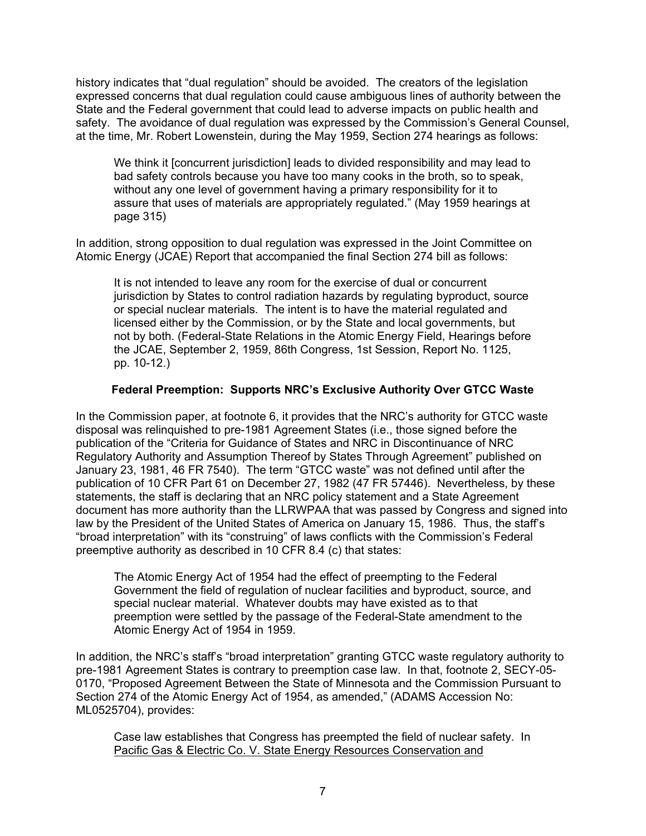history indicates that "dual regulation" should be avoided. The creators of the legislation expressed concerns that dual regulation could cause ambiguous lines of authority between the State and the Federal government that could lead to adverse impacts on public health and safety. The avoidance of dual regulation was expressed by the Commission's General Counsel, at the time, Mr. Robert Lowenstein, during the May 1959, Section 274 hearings as follows:

We think it [concurrent jurisdiction] leads to divided responsibility and may lead to bad safety controls because you have too many cooks in the broth, so to speak, without any one level of government having a primary responsibility for it to assure that uses of materials are appropriately regulated." (May 1959 hearings at page 315)

In addition, strong opposition to dual regulation was expressed in the Joint Committee on Atomic Energy (JCAE) Report that accompanied the final Section 274 bill as follows:

It is not intended to leave any room for the exercise of dual or concurrent jurisdiction by States to control radiation hazards by regulating byproduct, source or special nuclear materials. The intent is to have the material regulated and licensed either by the Commission, or by the State and local governments, but not by both. (Federal-State Relations in the Atomic Energy Field, Hearings before the JCAE, September 2, 1959, 86th Congress, 1st Session, Report No. 1125, pp. 10-12.)

### **Federal Preemption: Supports NRC's Exclusive Authority Over GTCC Waste**

In the Commission paper, at footnote 6, it provides that the NRC's authority for GTCC waste disposal was relinquished to pre-1981 Agreement States (i.e., those signed before the publication of the "Criteria for Guidance of States and NRC in Discontinuance of NRC Regulatory Authority and Assumption Thereof by States Through Agreement" published on January 23, 1981, 46 FR 7540). The term "GTCC waste" was not defined until after the publication of 10 CFR Part 61 on December 27, 1982 (47 FR 57446). Nevertheless, by these statements, the staff is declaring that an NRC policy statement and a State Agreement document has more authority than the LLRWPAA that was passed by Congress and signed into law by the President of the United States of America on January 15, 1986. Thus, the staff's "broad interpretation" with its "construing" of laws conflicts with the Commission's Federal preemptive authority as described in 10 CFR 8.4 (c) that states:

The Atomic Energy Act of 1954 had the effect of preempting to the Federal Government the field of regulation of nuclear facilities and byproduct, source, and special nuclear material. Whatever doubts may have existed as to that preemption were settled by the passage of the Federal-State amendment to the Atomic Energy Act of 1954 in 1959.

In addition, the NRC's staff's "broad interpretation" granting GTCC waste regulatory authority to pre-1981 Agreement States is contrary to preemption case law. In that, footnote 2, SECY-05- 0170, "Proposed Agreement Between the State of Minnesota and the Commission Pursuant to Section 274 of the Atomic Energy Act of 1954, as amended," (ADAMS Accession No: ML0525704), provides:

Case law establishes that Congress has preempted the field of nuclear safety. In Pacific Gas & Electric Co. V. State Energy Resources Conservation and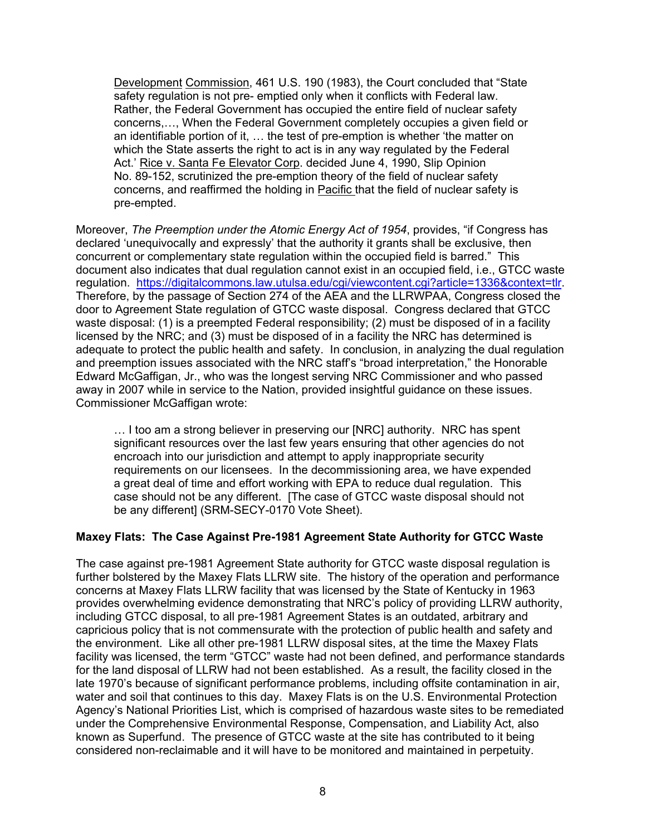Development Commission, 461 U.S. 190 (1983), the Court concluded that "State safety regulation is not pre- emptied only when it conflicts with Federal law. Rather, the Federal Government has occupied the entire field of nuclear safety concerns,…, When the Federal Government completely occupies a given field or an identifiable portion of it, … the test of pre-emption is whether 'the matter on which the State asserts the right to act is in any way regulated by the Federal Act.' Rice v. Santa Fe Elevator Corp. decided June 4, 1990, Slip Opinion No. 89-152, scrutinized the pre-emption theory of the field of nuclear safety concerns, and reaffirmed the holding in Pacific that the field of nuclear safety is pre-empted.

Moreover, *The Preemption under the Atomic Energy Act of 1954*, provides, "if Congress has declared 'unequivocally and expressly' that the authority it grants shall be exclusive, then concurrent or complementary state regulation within the occupied field is barred." This document also indicates that dual regulation cannot exist in an occupied field, i.e., GTCC waste regulation. https://digitalcommons.law.utulsa.edu/cgi/viewcontent.cgi?article=1336&context=tlr. Therefore, by the passage of Section 274 of the AEA and the LLRWPAA, Congress closed the door to Agreement State regulation of GTCC waste disposal. Congress declared that GTCC waste disposal: (1) is a preempted Federal responsibility; (2) must be disposed of in a facility licensed by the NRC; and (3) must be disposed of in a facility the NRC has determined is adequate to protect the public health and safety. In conclusion, in analyzing the dual regulation and preemption issues associated with the NRC staff's "broad interpretation," the Honorable Edward McGaffigan, Jr., who was the longest serving NRC Commissioner and who passed away in 2007 while in service to the Nation, provided insightful guidance on these issues. Commissioner McGaffigan wrote:

… I too am a strong believer in preserving our [NRC] authority. NRC has spent significant resources over the last few years ensuring that other agencies do not encroach into our jurisdiction and attempt to apply inappropriate security requirements on our licensees. In the decommissioning area, we have expended a great deal of time and effort working with EPA to reduce dual regulation. This case should not be any different. [The case of GTCC waste disposal should not be any different] (SRM-SECY-0170 Vote Sheet).

### **Maxey Flats: The Case Against Pre-1981 Agreement State Authority for GTCC Waste**

The case against pre-1981 Agreement State authority for GTCC waste disposal regulation is further bolstered by the Maxey Flats LLRW site. The history of the operation and performance concerns at Maxey Flats LLRW facility that was licensed by the State of Kentucky in 1963 provides overwhelming evidence demonstrating that NRC's policy of providing LLRW authority, including GTCC disposal, to all pre-1981 Agreement States is an outdated, arbitrary and capricious policy that is not commensurate with the protection of public health and safety and the environment. Like all other pre-1981 LLRW disposal sites, at the time the Maxey Flats facility was licensed, the term "GTCC" waste had not been defined, and performance standards for the land disposal of LLRW had not been established. As a result, the facility closed in the late 1970's because of significant performance problems, including offsite contamination in air, water and soil that continues to this day. Maxey Flats is on the U.S. Environmental Protection Agency's National Priorities List, which is comprised of hazardous waste sites to be remediated under the Comprehensive Environmental Response, Compensation, and Liability Act, also known as Superfund. The presence of GTCC waste at the site has contributed to it being considered non-reclaimable and it will have to be monitored and maintained in perpetuity.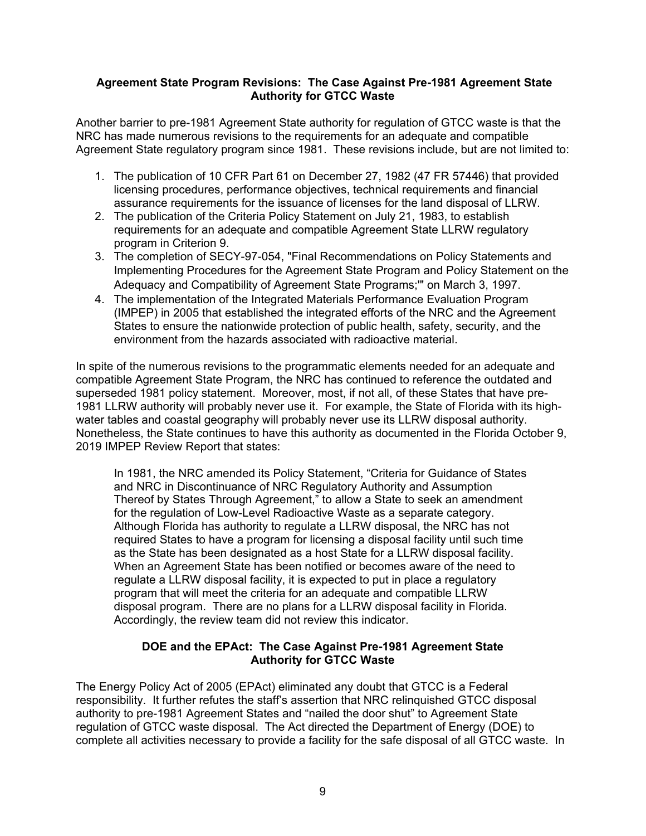#### **Agreement State Program Revisions: The Case Against Pre-1981 Agreement State Authority for GTCC Waste**

Another barrier to pre-1981 Agreement State authority for regulation of GTCC waste is that the NRC has made numerous revisions to the requirements for an adequate and compatible Agreement State regulatory program since 1981. These revisions include, but are not limited to:

- 1. The publication of 10 CFR Part 61 on December 27, 1982 (47 FR 57446) that provided licensing procedures, performance objectives, technical requirements and financial assurance requirements for the issuance of licenses for the land disposal of LLRW.
- 2. The publication of the Criteria Policy Statement on July 21, 1983, to establish requirements for an adequate and compatible Agreement State LLRW regulatory program in Criterion 9.
- 3. The completion of SECY-97-054, "Final Recommendations on Policy Statements and Implementing Procedures for the Agreement State Program and Policy Statement on the Adequacy and Compatibility of Agreement State Programs;'" on March 3, 1997.
- 4. The implementation of the Integrated Materials Performance Evaluation Program (IMPEP) in 2005 that established the integrated efforts of the NRC and the Agreement States to ensure the nationwide protection of public health, safety, security, and the environment from the hazards associated with radioactive material.

In spite of the numerous revisions to the programmatic elements needed for an adequate and compatible Agreement State Program, the NRC has continued to reference the outdated and superseded 1981 policy statement. Moreover, most, if not all, of these States that have pre-1981 LLRW authority will probably never use it. For example, the State of Florida with its highwater tables and coastal geography will probably never use its LLRW disposal authority. Nonetheless, the State continues to have this authority as documented in the Florida October 9, 2019 IMPEP Review Report that states:

In 1981, the NRC amended its Policy Statement, "Criteria for Guidance of States and NRC in Discontinuance of NRC Regulatory Authority and Assumption Thereof by States Through Agreement," to allow a State to seek an amendment for the regulation of Low-Level Radioactive Waste as a separate category. Although Florida has authority to regulate a LLRW disposal, the NRC has not required States to have a program for licensing a disposal facility until such time as the State has been designated as a host State for a LLRW disposal facility. When an Agreement State has been notified or becomes aware of the need to regulate a LLRW disposal facility, it is expected to put in place a regulatory program that will meet the criteria for an adequate and compatible LLRW disposal program. There are no plans for a LLRW disposal facility in Florida. Accordingly, the review team did not review this indicator.

### **DOE and the EPAct: The Case Against Pre-1981 Agreement State Authority for GTCC Waste**

The Energy Policy Act of 2005 (EPAct) eliminated any doubt that GTCC is a Federal responsibility. It further refutes the staff's assertion that NRC relinquished GTCC disposal authority to pre-1981 Agreement States and "nailed the door shut" to Agreement State regulation of GTCC waste disposal. The Act directed the Department of Energy (DOE) to complete all activities necessary to provide a facility for the safe disposal of all GTCC waste. In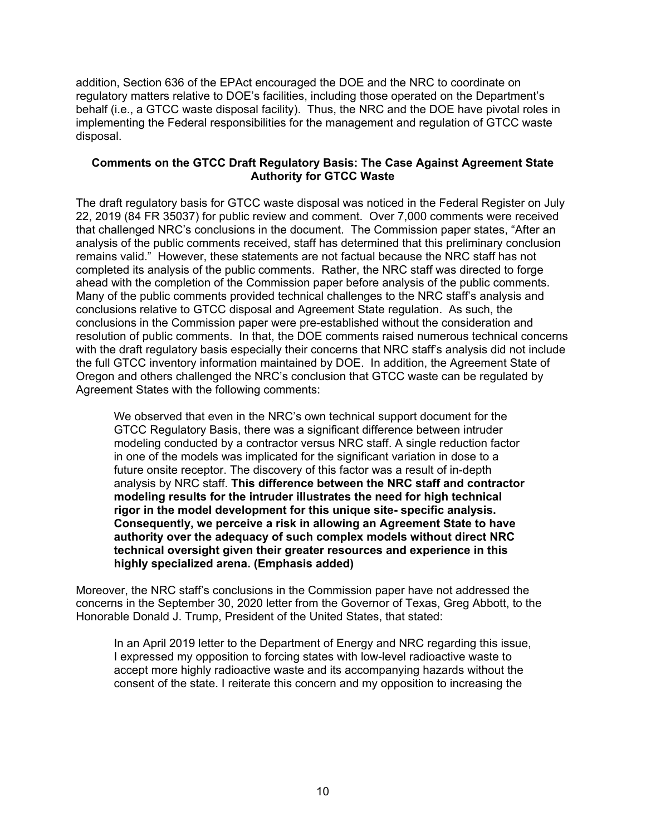addition, Section 636 of the EPAct encouraged the DOE and the NRC to coordinate on regulatory matters relative to DOE's facilities, including those operated on the Department's behalf (i.e., a GTCC waste disposal facility). Thus, the NRC and the DOE have pivotal roles in implementing the Federal responsibilities for the management and regulation of GTCC waste disposal.

### **Comments on the GTCC Draft Regulatory Basis: The Case Against Agreement State Authority for GTCC Waste**

The draft regulatory basis for GTCC waste disposal was noticed in the Federal Register on July 22, 2019 (84 FR 35037) for public review and comment. Over 7,000 comments were received that challenged NRC's conclusions in the document. The Commission paper states, "After an analysis of the public comments received, staff has determined that this preliminary conclusion remains valid." However, these statements are not factual because the NRC staff has not completed its analysis of the public comments. Rather, the NRC staff was directed to forge ahead with the completion of the Commission paper before analysis of the public comments. Many of the public comments provided technical challenges to the NRC staff's analysis and conclusions relative to GTCC disposal and Agreement State regulation. As such, the conclusions in the Commission paper were pre-established without the consideration and resolution of public comments. In that, the DOE comments raised numerous technical concerns with the draft regulatory basis especially their concerns that NRC staff's analysis did not include the full GTCC inventory information maintained by DOE. In addition, the Agreement State of Oregon and others challenged the NRC's conclusion that GTCC waste can be regulated by Agreement States with the following comments:

We observed that even in the NRC's own technical support document for the GTCC Regulatory Basis, there was a significant difference between intruder modeling conducted by a contractor versus NRC staff. A single reduction factor in one of the models was implicated for the significant variation in dose to a future onsite receptor. The discovery of this factor was a result of in-depth analysis by NRC staff. **This difference between the NRC staff and contractor modeling results for the intruder illustrates the need for high technical rigor in the model development for this unique site- specific analysis. Consequently, we perceive a risk in allowing an Agreement State to have authority over the adequacy of such complex models without direct NRC technical oversight given their greater resources and experience in this highly specialized arena. (Emphasis added)** 

Moreover, the NRC staff's conclusions in the Commission paper have not addressed the concerns in the September 30, 2020 letter from the Governor of Texas, Greg Abbott, to the Honorable Donald J. Trump, President of the United States, that stated:

In an April 2019 letter to the Department of Energy and NRC regarding this issue, I expressed my opposition to forcing states with low-level radioactive waste to accept more highly radioactive waste and its accompanying hazards without the consent of the state. I reiterate this concern and my opposition to increasing the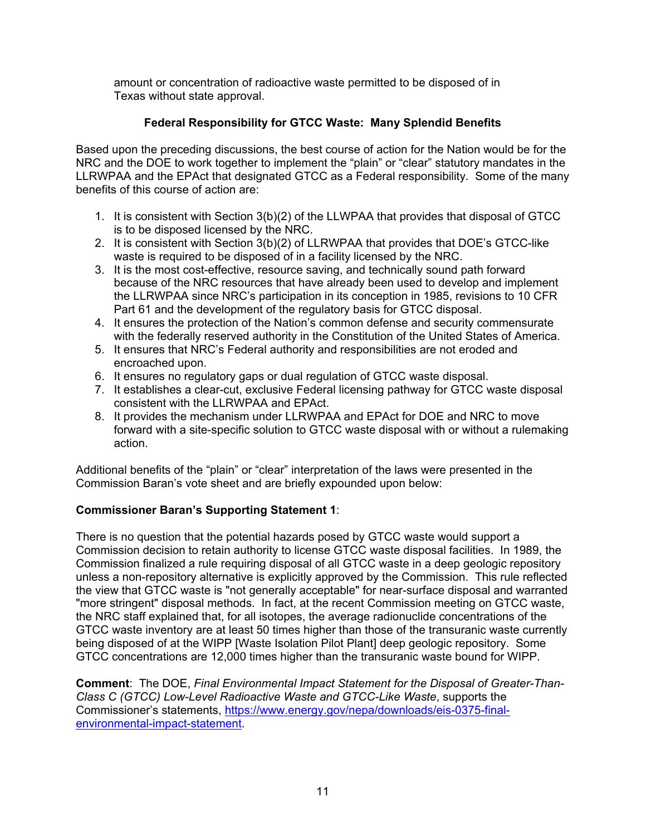amount or concentration of radioactive waste permitted to be disposed of in Texas without state approval.

# **Federal Responsibility for GTCC Waste: Many Splendid Benefits**

Based upon the preceding discussions, the best course of action for the Nation would be for the NRC and the DOE to work together to implement the "plain" or "clear" statutory mandates in the LLRWPAA and the EPAct that designated GTCC as a Federal responsibility. Some of the many benefits of this course of action are:

- 1. It is consistent with Section 3(b)(2) of the LLWPAA that provides that disposal of GTCC is to be disposed licensed by the NRC.
- 2. It is consistent with Section 3(b)(2) of LLRWPAA that provides that DOE's GTCC-like waste is required to be disposed of in a facility licensed by the NRC.
- 3. It is the most cost-effective, resource saving, and technically sound path forward because of the NRC resources that have already been used to develop and implement the LLRWPAA since NRC's participation in its conception in 1985, revisions to 10 CFR Part 61 and the development of the regulatory basis for GTCC disposal.
- 4. It ensures the protection of the Nation's common defense and security commensurate with the federally reserved authority in the Constitution of the United States of America.
- 5. It ensures that NRC's Federal authority and responsibilities are not eroded and encroached upon.
- 6. It ensures no regulatory gaps or dual regulation of GTCC waste disposal.
- 7. It establishes a clear-cut, exclusive Federal licensing pathway for GTCC waste disposal consistent with the LLRWPAA and EPAct.
- 8. It provides the mechanism under LLRWPAA and EPAct for DOE and NRC to move forward with a site-specific solution to GTCC waste disposal with or without a rulemaking action.

Additional benefits of the "plain" or "clear" interpretation of the laws were presented in the Commission Baran's vote sheet and are briefly expounded upon below:

# **Commissioner Baran's Supporting Statement 1**:

There is no question that the potential hazards posed by GTCC waste would support a Commission decision to retain authority to license GTCC waste disposal facilities. In 1989, the Commission finalized a rule requiring disposal of all GTCC waste in a deep geologic repository unless a non-repository alternative is explicitly approved by the Commission. This rule reflected the view that GTCC waste is "not generally acceptable" for near-surface disposal and warranted "more stringent" disposal methods. In fact, at the recent Commission meeting on GTCC waste, the NRC staff explained that, for all isotopes, the average radionuclide concentrations of the GTCC waste inventory are at least 50 times higher than those of the transuranic waste currently being disposed of at the WIPP [Waste Isolation Pilot Plant] deep geologic repository. Some GTCC concentrations are 12,000 times higher than the transuranic waste bound for WIPP.

**Comment**: The DOE, *Final Environmental Impact Statement for the Disposal of Greater-Than-Class C (GTCC) Low-Level Radioactive Waste and GTCC-Like Waste*, supports the Commissioner's statements, https://www.energy.gov/nepa/downloads/eis-0375-finalenvironmental-impact-statement.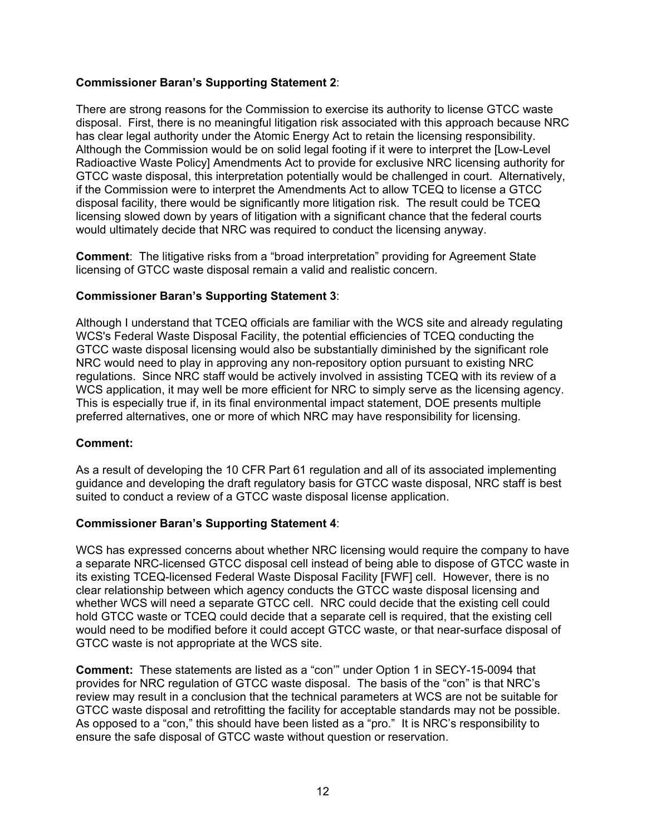## **Commissioner Baran's Supporting Statement 2**:

There are strong reasons for the Commission to exercise its authority to license GTCC waste disposal. First, there is no meaningful litigation risk associated with this approach because NRC has clear legal authority under the Atomic Energy Act to retain the licensing responsibility. Although the Commission would be on solid legal footing if it were to interpret the [Low-Level Radioactive Waste Policy] Amendments Act to provide for exclusive NRC licensing authority for GTCC waste disposal, this interpretation potentially would be challenged in court. Alternatively, if the Commission were to interpret the Amendments Act to allow TCEQ to license a GTCC disposal facility, there would be significantly more litigation risk. The result could be TCEQ licensing slowed down by years of litigation with a significant chance that the federal courts would ultimately decide that NRC was required to conduct the licensing anyway.

**Comment**: The litigative risks from a "broad interpretation" providing for Agreement State licensing of GTCC waste disposal remain a valid and realistic concern.

# **Commissioner Baran's Supporting Statement 3**:

Although I understand that TCEQ officials are familiar with the WCS site and already regulating WCS's Federal Waste Disposal Facility, the potential efficiencies of TCEQ conducting the GTCC waste disposal licensing would also be substantially diminished by the significant role NRC would need to play in approving any non-repository option pursuant to existing NRC regulations. Since NRC staff would be actively involved in assisting TCEQ with its review of a WCS application, it may well be more efficient for NRC to simply serve as the licensing agency. This is especially true if, in its final environmental impact statement, DOE presents multiple preferred alternatives, one or more of which NRC may have responsibility for licensing.

### **Comment:**

As a result of developing the 10 CFR Part 61 regulation and all of its associated implementing guidance and developing the draft regulatory basis for GTCC waste disposal, NRC staff is best suited to conduct a review of a GTCC waste disposal license application.

### **Commissioner Baran's Supporting Statement 4**:

WCS has expressed concerns about whether NRC licensing would require the company to have a separate NRC-licensed GTCC disposal cell instead of being able to dispose of GTCC waste in its existing TCEQ-licensed Federal Waste Disposal Facility [FWF] cell. However, there is no clear relationship between which agency conducts the GTCC waste disposal licensing and whether WCS will need a separate GTCC cell. NRC could decide that the existing cell could hold GTCC waste or TCEQ could decide that a separate cell is required, that the existing cell would need to be modified before it could accept GTCC waste, or that near-surface disposal of GTCC waste is not appropriate at the WCS site.

**Comment:** These statements are listed as a "con'" under Option 1 in SECY-15-0094 that provides for NRC regulation of GTCC waste disposal. The basis of the "con" is that NRC's review may result in a conclusion that the technical parameters at WCS are not be suitable for GTCC waste disposal and retrofitting the facility for acceptable standards may not be possible. As opposed to a "con," this should have been listed as a "pro." It is NRC's responsibility to ensure the safe disposal of GTCC waste without question or reservation.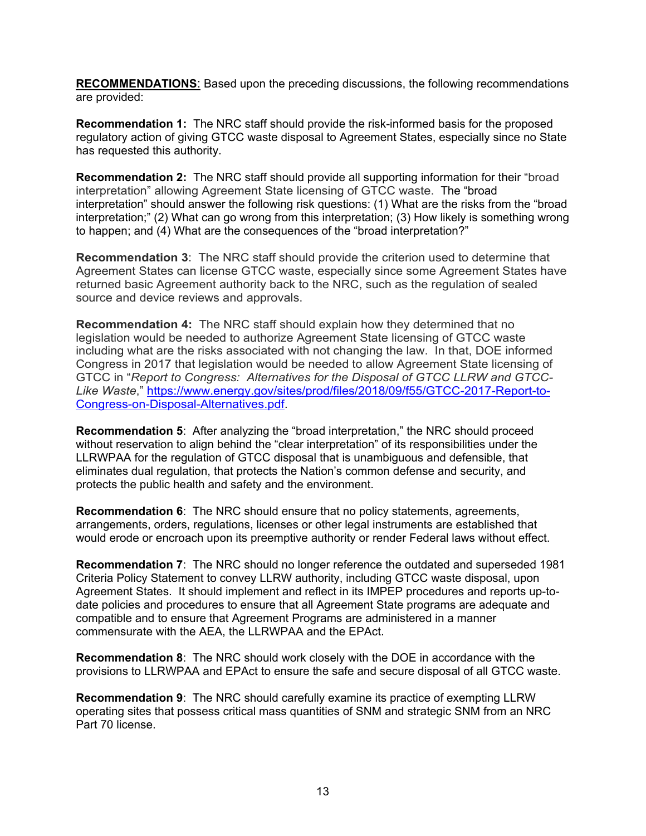**RECOMMENDATIONS**: Based upon the preceding discussions, the following recommendations are provided:

**Recommendation 1:** The NRC staff should provide the risk-informed basis for the proposed regulatory action of giving GTCC waste disposal to Agreement States, especially since no State has requested this authority.

**Recommendation 2:** The NRC staff should provide all supporting information for their "broad interpretation" allowing Agreement State licensing of GTCC waste. The "broad interpretation" should answer the following risk questions: (1) What are the risks from the "broad interpretation;" (2) What can go wrong from this interpretation; (3) How likely is something wrong to happen; and (4) What are the consequences of the "broad interpretation?"

**Recommendation 3**: The NRC staff should provide the criterion used to determine that Agreement States can license GTCC waste, especially since some Agreement States have returned basic Agreement authority back to the NRC, such as the regulation of sealed source and device reviews and approvals.

**Recommendation 4:** The NRC staff should explain how they determined that no legislation would be needed to authorize Agreement State licensing of GTCC waste including what are the risks associated with not changing the law. In that, DOE informed Congress in 2017 that legislation would be needed to allow Agreement State licensing of GTCC in "*Report to Congress: Alternatives for the Disposal of GTCC LLRW and GTCC-Like Waste*," https://www.energy.gov/sites/prod/files/2018/09/f55/GTCC-2017-Report-to-Congress-on-Disposal-Alternatives.pdf.

**Recommendation 5**: After analyzing the "broad interpretation," the NRC should proceed without reservation to align behind the "clear interpretation" of its responsibilities under the LLRWPAA for the regulation of GTCC disposal that is unambiguous and defensible, that eliminates dual regulation, that protects the Nation's common defense and security, and protects the public health and safety and the environment.

**Recommendation 6**: The NRC should ensure that no policy statements, agreements, arrangements, orders, regulations, licenses or other legal instruments are established that would erode or encroach upon its preemptive authority or render Federal laws without effect.

**Recommendation 7**: The NRC should no longer reference the outdated and superseded 1981 Criteria Policy Statement to convey LLRW authority, including GTCC waste disposal, upon Agreement States. It should implement and reflect in its IMPEP procedures and reports up-todate policies and procedures to ensure that all Agreement State programs are adequate and compatible and to ensure that Agreement Programs are administered in a manner commensurate with the AEA, the LLRWPAA and the EPAct.

**Recommendation 8**: The NRC should work closely with the DOE in accordance with the provisions to LLRWPAA and EPAct to ensure the safe and secure disposal of all GTCC waste.

**Recommendation 9**: The NRC should carefully examine its practice of exempting LLRW operating sites that possess critical mass quantities of SNM and strategic SNM from an NRC Part 70 license.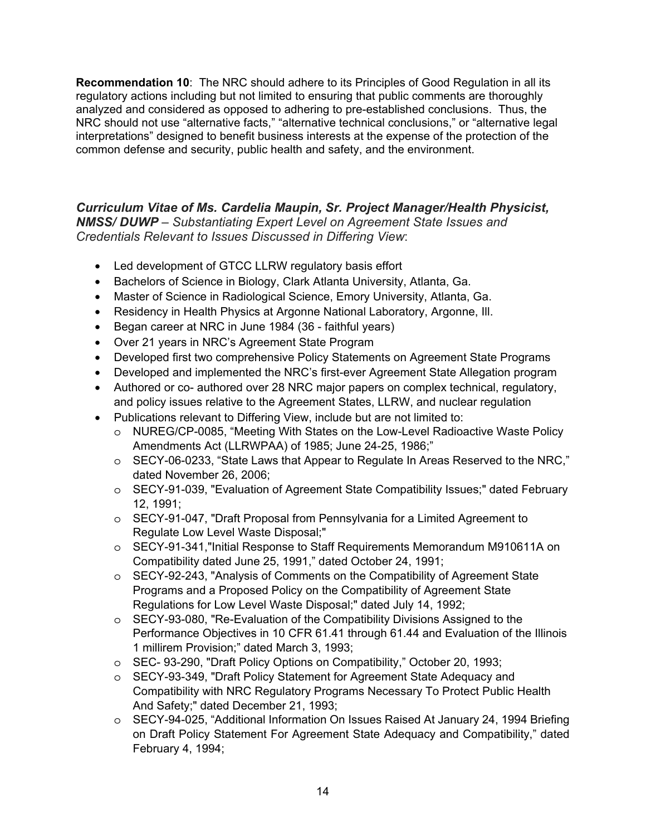**Recommendation 10**: The NRC should adhere to its Principles of Good Regulation in all its regulatory actions including but not limited to ensuring that public comments are thoroughly analyzed and considered as opposed to adhering to pre-established conclusions. Thus, the NRC should not use "alternative facts," "alternative technical conclusions," or "alternative legal interpretations" designed to benefit business interests at the expense of the protection of the common defense and security, public health and safety, and the environment.

*Curriculum Vitae of Ms. Cardelia Maupin, Sr. Project Manager/Health Physicist, NMSS/ DUWP* – *Substantiating Expert Level on Agreement State Issues and Credentials Relevant to Issues Discussed in Differing View*:

- Led development of GTCC LLRW regulatory basis effort
- Bachelors of Science in Biology, Clark Atlanta University, Atlanta, Ga.
- Master of Science in Radiological Science, Emory University, Atlanta, Ga.
- Residency in Health Physics at Argonne National Laboratory, Argonne, Ill.
- Began career at NRC in June 1984 (36 faithful years)
- Over 21 years in NRC's Agreement State Program
- Developed first two comprehensive Policy Statements on Agreement State Programs
- Developed and implemented the NRC's first-ever Agreement State Allegation program
- Authored or co- authored over 28 NRC major papers on complex technical, regulatory, and policy issues relative to the Agreement States, LLRW, and nuclear regulation
- Publications relevant to Differing View, include but are not limited to:
	- o NUREG/CP-0085, "Meeting With States on the Low-Level Radioactive Waste Policy Amendments Act (LLRWPAA) of 1985; June 24-25, 1986;"
	- o SECY-06-0233, "State Laws that Appear to Regulate In Areas Reserved to the NRC," dated November 26, 2006;
	- o SECY-91-039, "Evaluation of Agreement State Compatibility Issues;" dated February 12, 1991;
	- o SECY-91-047, "Draft Proposal from Pennsylvania for a Limited Agreement to Regulate Low Level Waste Disposal;"
	- o SECY-91-341,"Initial Response to Staff Requirements Memorandum M910611A on Compatibility dated June 25, 1991," dated October 24, 1991;
	- o SECY-92-243, "Analysis of Comments on the Compatibility of Agreement State Programs and a Proposed Policy on the Compatibility of Agreement State Regulations for Low Level Waste Disposal;" dated July 14, 1992;
	- o SECY-93-080, "Re-Evaluation of the Compatibility Divisions Assigned to the Performance Objectives in 10 CFR 61.41 through 61.44 and Evaluation of the Illinois 1 millirem Provision;" dated March 3, 1993;
	- o SEC- 93-290, "Draft Policy Options on Compatibility," October 20, 1993;
	- o SECY-93-349, "Draft Policy Statement for Agreement State Adequacy and Compatibility with NRC Regulatory Programs Necessary To Protect Public Health And Safety;" dated December 21, 1993;
	- o SECY-94-025, "Additional Information On Issues Raised At January 24, 1994 Briefing on Draft Policy Statement For Agreement State Adequacy and Compatibility," dated February 4, 1994;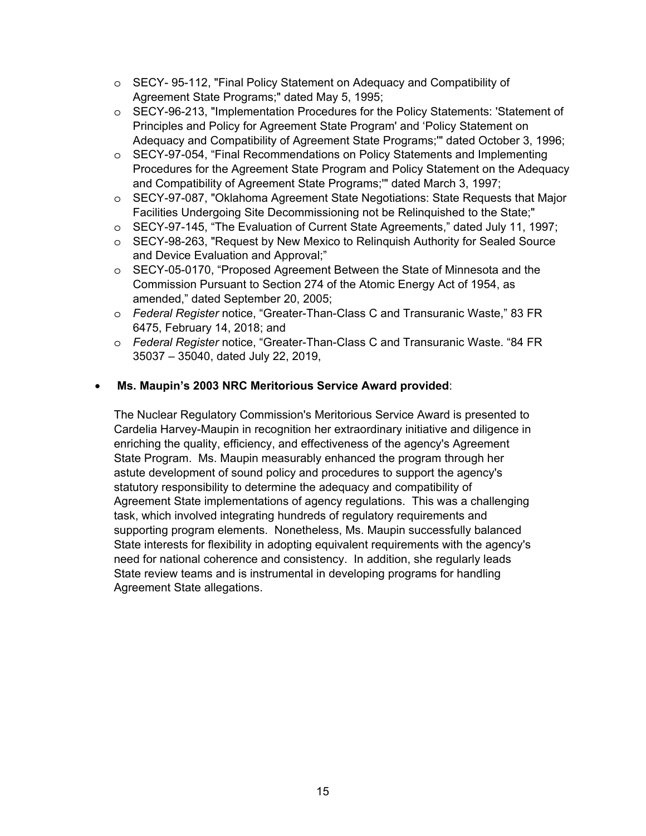- o SECY- 95-112, "Final Policy Statement on Adequacy and Compatibility of Agreement State Programs;" dated May 5, 1995;
- o SECY-96-213, "Implementation Procedures for the Policy Statements: 'Statement of Principles and Policy for Agreement State Program' and 'Policy Statement on Adequacy and Compatibility of Agreement State Programs;'" dated October 3, 1996;
- o SECY-97-054, "Final Recommendations on Policy Statements and Implementing Procedures for the Agreement State Program and Policy Statement on the Adequacy and Compatibility of Agreement State Programs;'" dated March 3, 1997;
- o SECY-97-087, "Oklahoma Agreement State Negotiations: State Requests that Major Facilities Undergoing Site Decommissioning not be Relinquished to the State;"
- o SECY-97-145, "The Evaluation of Current State Agreements," dated July 11, 1997;
- o SECY-98-263, "Request by New Mexico to Relinquish Authority for Sealed Source and Device Evaluation and Approval;"
- o SECY-05-0170, "Proposed Agreement Between the State of Minnesota and the Commission Pursuant to Section 274 of the Atomic Energy Act of 1954, as amended," dated September 20, 2005;
- o *Federal Register* notice, "Greater-Than-Class C and Transuranic Waste," 83 FR 6475, February 14, 2018; and
- o *Federal Register* notice, "Greater-Than-Class C and Transuranic Waste. "84 FR 35037 – 35040, dated July 22, 2019,

### • **Ms. Maupin's 2003 NRC Meritorious Service Award provided**:

The Nuclear Regulatory Commission's Meritorious Service Award is presented to Cardelia Harvey-Maupin in recognition her extraordinary initiative and diligence in enriching the quality, efficiency, and effectiveness of the agency's Agreement State Program. Ms. Maupin measurably enhanced the program through her astute development of sound policy and procedures to support the agency's statutory responsibility to determine the adequacy and compatibility of Agreement State implementations of agency regulations. This was a challenging task, which involved integrating hundreds of regulatory requirements and supporting program elements. Nonetheless, Ms. Maupin successfully balanced State interests for flexibility in adopting equivalent requirements with the agency's need for national coherence and consistency. In addition, she regularly leads State review teams and is instrumental in developing programs for handling Agreement State allegations.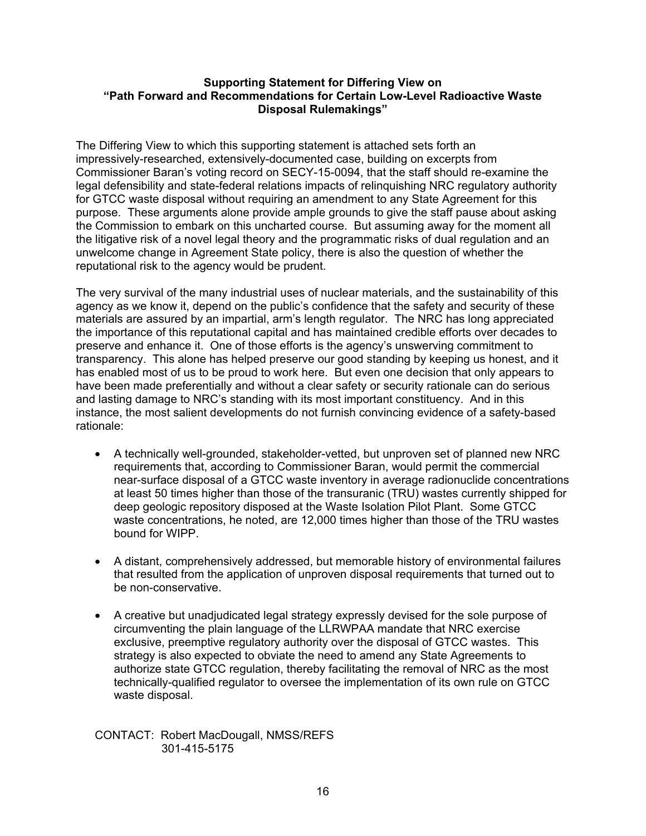#### **Supporting Statement for Differing View on "Path Forward and Recommendations for Certain Low-Level Radioactive Waste Disposal Rulemakings"**

The Differing View to which this supporting statement is attached sets forth an impressively-researched, extensively-documented case, building on excerpts from Commissioner Baran's voting record on SECY-15-0094, that the staff should re-examine the legal defensibility and state-federal relations impacts of relinquishing NRC regulatory authority for GTCC waste disposal without requiring an amendment to any State Agreement for this purpose. These arguments alone provide ample grounds to give the staff pause about asking the Commission to embark on this uncharted course. But assuming away for the moment all the litigative risk of a novel legal theory and the programmatic risks of dual regulation and an unwelcome change in Agreement State policy, there is also the question of whether the reputational risk to the agency would be prudent.

The very survival of the many industrial uses of nuclear materials, and the sustainability of this agency as we know it, depend on the public's confidence that the safety and security of these materials are assured by an impartial, arm's length regulator. The NRC has long appreciated the importance of this reputational capital and has maintained credible efforts over decades to preserve and enhance it. One of those efforts is the agency's unswerving commitment to transparency. This alone has helped preserve our good standing by keeping us honest, and it has enabled most of us to be proud to work here. But even one decision that only appears to have been made preferentially and without a clear safety or security rationale can do serious and lasting damage to NRC's standing with its most important constituency. And in this instance, the most salient developments do not furnish convincing evidence of a safety-based rationale:

- A technically well-grounded, stakeholder-vetted, but unproven set of planned new NRC requirements that, according to Commissioner Baran, would permit the commercial near-surface disposal of a GTCC waste inventory in average radionuclide concentrations at least 50 times higher than those of the transuranic (TRU) wastes currently shipped for deep geologic repository disposed at the Waste Isolation Pilot Plant. Some GTCC waste concentrations, he noted, are 12,000 times higher than those of the TRU wastes bound for WIPP.
- A distant, comprehensively addressed, but memorable history of environmental failures that resulted from the application of unproven disposal requirements that turned out to be non-conservative.
- A creative but unadjudicated legal strategy expressly devised for the sole purpose of circumventing the plain language of the LLRWPAA mandate that NRC exercise exclusive, preemptive regulatory authority over the disposal of GTCC wastes. This strategy is also expected to obviate the need to amend any State Agreements to authorize state GTCC regulation, thereby facilitating the removal of NRC as the most technically-qualified regulator to oversee the implementation of its own rule on GTCC waste disposal.

CONTACT: Robert MacDougall, NMSS/REFS 301-415-5175